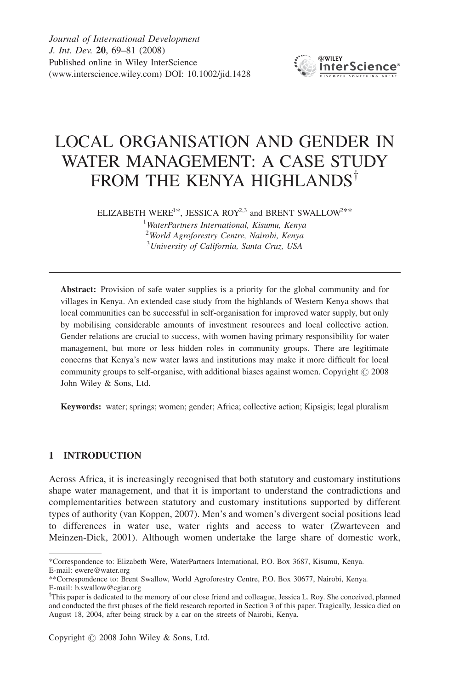Journal of International Development J. Int. Dev. 20, 69–81 (2008) Published online in Wiley InterScience (www.interscience.wiley.com) DOI: 10.1002/jid.1428



# LOCAL ORGANISATION AND GENDER IN WATER MANAGEMENT: A CASE STUDY FROM THE KENYA HIGHLANDS<sup>†</sup>

ELIZABETH WERE<sup>1\*</sup>, JESSICA ROY<sup>2,3</sup> and BRENT SWALLOW<sup>2\*\*</sup>

<sup>1</sup>WaterPartners International, Kisumu, Kenya <sup>2</sup>World Agroforestry Centre, Nairobi, Kenya <sup>3</sup> University of California, Santa Cruz, USA

Abstract: Provision of safe water supplies is a priority for the global community and for villages in Kenya. An extended case study from the highlands of Western Kenya shows that local communities can be successful in self-organisation for improved water supply, but only by mobilising considerable amounts of investment resources and local collective action. Gender relations are crucial to success, with women having primary responsibility for water management, but more or less hidden roles in community groups. There are legitimate concerns that Kenya's new water laws and institutions may make it more difficult for local community groups to self-organise, with additional biases against women. Copyright  $\odot$  2008 John Wiley & Sons, Ltd.

Keywords: water; springs; women; gender; Africa; collective action; Kipsigis; legal pluralism

#### 1 INTRODUCTION

Across Africa, it is increasingly recognised that both statutory and customary institutions shape water management, and that it is important to understand the contradictions and complementarities between statutory and customary institutions supported by different types of authority (van Koppen, 2007). Men's and women's divergent social positions lead to differences in water use, water rights and access to water (Zwarteveen and Meinzen-Dick, 2001). Although women undertake the large share of domestic work,

<sup>\*</sup>Correspondence to: Elizabeth Were, WaterPartners International, P.O. Box 3687, Kisumu, Kenya. E-mail: ewere@water.org

<sup>\*\*</sup>Correspondence to: Brent Swallow, World Agroforestry Centre, P.O. Box 30677, Nairobi, Kenya.

E-mail: b.swallow@cgiar.org

This paper is dedicated to the memory of our close friend and colleague, Jessica L. Roy. She conceived, planned and conducted the first phases of the field research reported in Section 3 of this paper. Tragically, Jessica died on August 18, 2004, after being struck by a car on the streets of Nairobi, Kenya.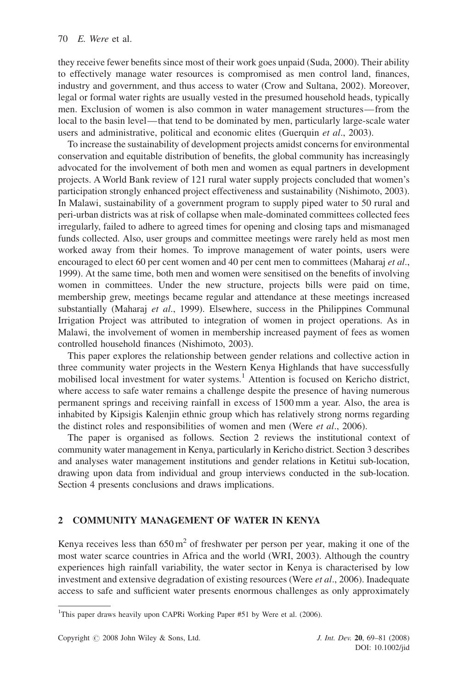they receive fewer benefits since most of their work goes unpaid (Suda, 2000). Their ability to effectively manage water resources is compromised as men control land, finances, industry and government, and thus access to water (Crow and Sultana, 2002). Moreover, legal or formal water rights are usually vested in the presumed household heads, typically men. Exclusion of women is also common in water management structures— from the local to the basin level—that tend to be dominated by men, particularly large-scale water users and administrative, political and economic elites (Guerquin et al., 2003).

To increase the sustainability of development projects amidst concerns for environmental conservation and equitable distribution of benefits, the global community has increasingly advocated for the involvement of both men and women as equal partners in development projects. A World Bank review of 121 rural water supply projects concluded that women's participation strongly enhanced project effectiveness and sustainability (Nishimoto, 2003). In Malawi, sustainability of a government program to supply piped water to 50 rural and peri-urban districts was at risk of collapse when male-dominated committees collected fees irregularly, failed to adhere to agreed times for opening and closing taps and mismanaged funds collected. Also, user groups and committee meetings were rarely held as most men worked away from their homes. To improve management of water points, users were encouraged to elect 60 per cent women and 40 per cent men to committees (Maharaj *et al.*, 1999). At the same time, both men and women were sensitised on the benefits of involving women in committees. Under the new structure, projects bills were paid on time, membership grew, meetings became regular and attendance at these meetings increased substantially (Maharaj et al., 1999). Elsewhere, success in the Philippines Communal Irrigation Project was attributed to integration of women in project operations. As in Malawi, the involvement of women in membership increased payment of fees as women controlled household finances (Nishimoto, 2003).

This paper explores the relationship between gender relations and collective action in three community water projects in the Western Kenya Highlands that have successfully mobilised local investment for water systems.<sup>1</sup> Attention is focused on Kericho district, where access to safe water remains a challenge despite the presence of having numerous permanent springs and receiving rainfall in excess of 1500 mm a year. Also, the area is inhabited by Kipsigis Kalenjin ethnic group which has relatively strong norms regarding the distinct roles and responsibilities of women and men (Were et al., 2006).

The paper is organised as follows. Section 2 reviews the institutional context of community water management in Kenya, particularly in Kericho district. Section 3 describes and analyses water management institutions and gender relations in Ketitui sub-location, drawing upon data from individual and group interviews conducted in the sub-location. Section 4 presents conclusions and draws implications.

# 2 COMMUNITY MANAGEMENT OF WATER IN KENYA

Kenya receives less than  $650 \text{ m}^2$  of freshwater per person per year, making it one of the most water scarce countries in Africa and the world (WRI, 2003). Although the country experiences high rainfall variability, the water sector in Kenya is characterised by low investment and extensive degradation of existing resources (Were *et al.*, 2006). Inadequate access to safe and sufficient water presents enormous challenges as only approximately

<sup>&</sup>lt;sup>1</sup>This paper draws heavily upon CAPRi Working Paper #51 by Were et al. (2006).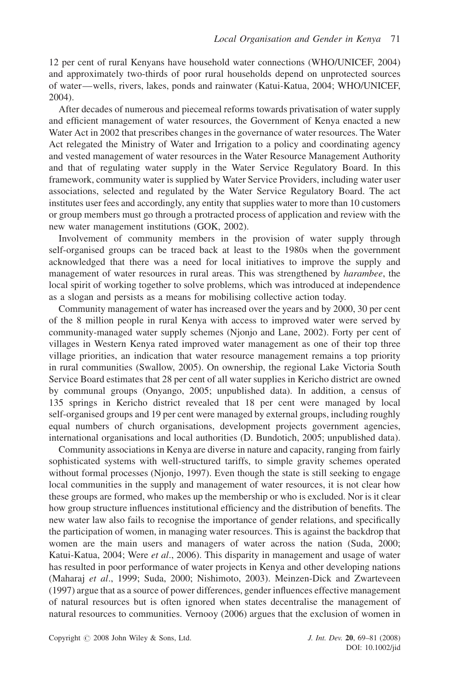12 per cent of rural Kenyans have household water connections (WHO/UNICEF, 2004) and approximately two-thirds of poor rural households depend on unprotected sources of water—wells, rivers, lakes, ponds and rainwater (Katui-Katua, 2004; WHO/UNICEF, 2004).

After decades of numerous and piecemeal reforms towards privatisation of water supply and efficient management of water resources, the Government of Kenya enacted a new Water Act in 2002 that prescribes changes in the governance of water resources. The Water Act relegated the Ministry of Water and Irrigation to a policy and coordinating agency and vested management of water resources in the Water Resource Management Authority and that of regulating water supply in the Water Service Regulatory Board. In this framework, community water is supplied by Water Service Providers, including water user associations, selected and regulated by the Water Service Regulatory Board. The act institutes user fees and accordingly, any entity that supplies water to more than 10 customers or group members must go through a protracted process of application and review with the new water management institutions (GOK, 2002).

Involvement of community members in the provision of water supply through self-organised groups can be traced back at least to the 1980s when the government acknowledged that there was a need for local initiatives to improve the supply and management of water resources in rural areas. This was strengthened by *harambee*, the local spirit of working together to solve problems, which was introduced at independence as a slogan and persists as a means for mobilising collective action today.

Community management of water has increased over the years and by 2000, 30 per cent of the 8 million people in rural Kenya with access to improved water were served by community-managed water supply schemes (Njonjo and Lane, 2002). Forty per cent of villages in Western Kenya rated improved water management as one of their top three village priorities, an indication that water resource management remains a top priority in rural communities (Swallow, 2005). On ownership, the regional Lake Victoria South Service Board estimates that 28 per cent of all water supplies in Kericho district are owned by communal groups (Onyango, 2005; unpublished data). In addition, a census of 135 springs in Kericho district revealed that 18 per cent were managed by local self-organised groups and 19 per cent were managed by external groups, including roughly equal numbers of church organisations, development projects government agencies, international organisations and local authorities (D. Bundotich, 2005; unpublished data).

Community associations in Kenya are diverse in nature and capacity, ranging from fairly sophisticated systems with well-structured tariffs, to simple gravity schemes operated without formal processes (Njonjo, 1997). Even though the state is still seeking to engage local communities in the supply and management of water resources, it is not clear how these groups are formed, who makes up the membership or who is excluded. Nor is it clear how group structure influences institutional efficiency and the distribution of benefits. The new water law also fails to recognise the importance of gender relations, and specifically the participation of women, in managing water resources. This is against the backdrop that women are the main users and managers of water across the nation (Suda, 2000; Katui-Katua, 2004; Were et al., 2006). This disparity in management and usage of water has resulted in poor performance of water projects in Kenya and other developing nations (Maharaj et al., 1999; Suda, 2000; Nishimoto, 2003). Meinzen-Dick and Zwarteveen (1997) argue that as a source of power differences, gender influences effective management of natural resources but is often ignored when states decentralise the management of natural resources to communities. Vernooy (2006) argues that the exclusion of women in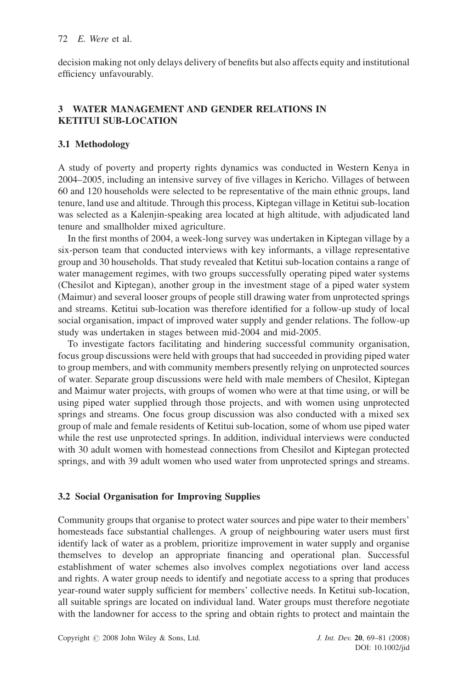decision making not only delays delivery of benefits but also affects equity and institutional efficiency unfavourably.

# WATER MANAGEMENT AND GENDER RELATIONS IN KETITUI SUB-LOCATION

# 3.1 Methodology

A study of poverty and property rights dynamics was conducted in Western Kenya in 2004–2005, including an intensive survey of five villages in Kericho. Villages of between 60 and 120 households were selected to be representative of the main ethnic groups, land tenure, land use and altitude. Through this process, Kiptegan village in Ketitui sub-location was selected as a Kalenjin-speaking area located at high altitude, with adjudicated land tenure and smallholder mixed agriculture.

In the first months of 2004, a week-long survey was undertaken in Kiptegan village by a six-person team that conducted interviews with key informants, a village representative group and 30 households. That study revealed that Ketitui sub-location contains a range of water management regimes, with two groups successfully operating piped water systems (Chesilot and Kiptegan), another group in the investment stage of a piped water system (Maimur) and several looser groups of people still drawing water from unprotected springs and streams. Ketitui sub-location was therefore identified for a follow-up study of local social organisation, impact of improved water supply and gender relations. The follow-up study was undertaken in stages between mid-2004 and mid-2005.

To investigate factors facilitating and hindering successful community organisation, focus group discussions were held with groups that had succeeded in providing piped water to group members, and with community members presently relying on unprotected sources of water. Separate group discussions were held with male members of Chesilot, Kiptegan and Maimur water projects, with groups of women who were at that time using, or will be using piped water supplied through those projects, and with women using unprotected springs and streams. One focus group discussion was also conducted with a mixed sex group of male and female residents of Ketitui sub-location, some of whom use piped water while the rest use unprotected springs. In addition, individual interviews were conducted with 30 adult women with homestead connections from Chesilot and Kiptegan protected springs, and with 39 adult women who used water from unprotected springs and streams.

# 3.2 Social Organisation for Improving Supplies

Community groups that organise to protect water sources and pipe water to their members' homesteads face substantial challenges. A group of neighbouring water users must first identify lack of water as a problem, prioritize improvement in water supply and organise themselves to develop an appropriate financing and operational plan. Successful establishment of water schemes also involves complex negotiations over land access and rights. A water group needs to identify and negotiate access to a spring that produces year-round water supply sufficient for members' collective needs. In Ketitui sub-location, all suitable springs are located on individual land. Water groups must therefore negotiate with the landowner for access to the spring and obtain rights to protect and maintain the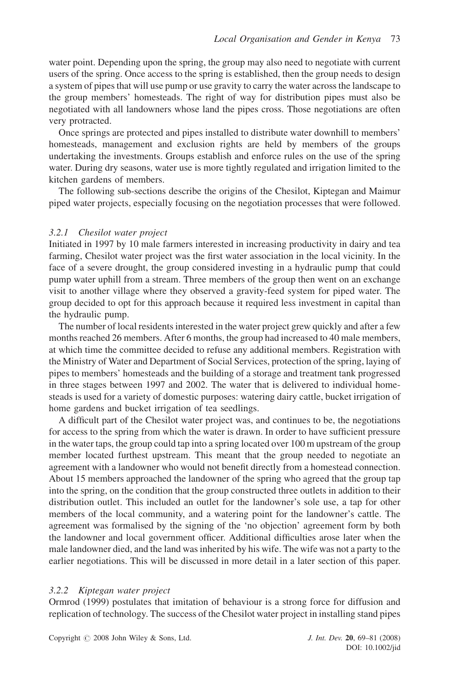water point. Depending upon the spring, the group may also need to negotiate with current users of the spring. Once access to the spring is established, then the group needs to design a system of pipes that will use pump or use gravity to carry the water across the landscape to the group members' homesteads. The right of way for distribution pipes must also be negotiated with all landowners whose land the pipes cross. Those negotiations are often very protracted.

Once springs are protected and pipes installed to distribute water downhill to members' homesteads, management and exclusion rights are held by members of the groups undertaking the investments. Groups establish and enforce rules on the use of the spring water. During dry seasons, water use is more tightly regulated and irrigation limited to the kitchen gardens of members.

The following sub-sections describe the origins of the Chesilot, Kiptegan and Maimur piped water projects, especially focusing on the negotiation processes that were followed.

#### 3.2.1 Chesilot water project

Initiated in 1997 by 10 male farmers interested in increasing productivity in dairy and tea farming, Chesilot water project was the first water association in the local vicinity. In the face of a severe drought, the group considered investing in a hydraulic pump that could pump water uphill from a stream. Three members of the group then went on an exchange visit to another village where they observed a gravity-feed system for piped water. The group decided to opt for this approach because it required less investment in capital than the hydraulic pump.

The number of local residents interested in the water project grew quickly and after a few months reached 26 members. After 6 months, the group had increased to 40 male members, at which time the committee decided to refuse any additional members. Registration with the Ministry of Water and Department of Social Services, protection of the spring, laying of pipes to members' homesteads and the building of a storage and treatment tank progressed in three stages between 1997 and 2002. The water that is delivered to individual homesteads is used for a variety of domestic purposes: watering dairy cattle, bucket irrigation of home gardens and bucket irrigation of tea seedlings.

A difficult part of the Chesilot water project was, and continues to be, the negotiations for access to the spring from which the water is drawn. In order to have sufficient pressure in the water taps, the group could tap into a spring located over 100 m upstream of the group member located furthest upstream. This meant that the group needed to negotiate an agreement with a landowner who would not benefit directly from a homestead connection. About 15 members approached the landowner of the spring who agreed that the group tap into the spring, on the condition that the group constructed three outlets in addition to their distribution outlet. This included an outlet for the landowner's sole use, a tap for other members of the local community, and a watering point for the landowner's cattle. The agreement was formalised by the signing of the 'no objection' agreement form by both the landowner and local government officer. Additional difficulties arose later when the male landowner died, and the land was inherited by his wife. The wife was not a party to the earlier negotiations. This will be discussed in more detail in a later section of this paper.

#### 3.2.2 Kiptegan water project

Ormrod (1999) postulates that imitation of behaviour is a strong force for diffusion and replication of technology. The success of the Chesilot water project in installing stand pipes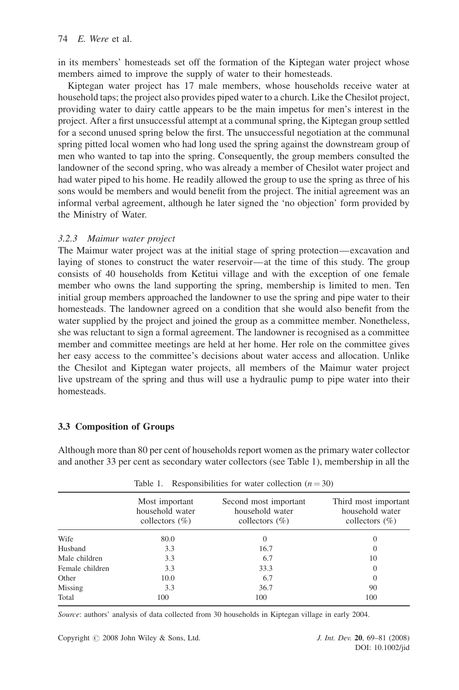in its members' homesteads set off the formation of the Kiptegan water project whose members aimed to improve the supply of water to their homesteads.

Kiptegan water project has 17 male members, whose households receive water at household taps; the project also provides piped water to a church. Like the Chesilot project, providing water to dairy cattle appears to be the main impetus for men's interest in the project. After a first unsuccessful attempt at a communal spring, the Kiptegan group settled for a second unused spring below the first. The unsuccessful negotiation at the communal spring pitted local women who had long used the spring against the downstream group of men who wanted to tap into the spring. Consequently, the group members consulted the landowner of the second spring, who was already a member of Chesilot water project and had water piped to his home. He readily allowed the group to use the spring as three of his sons would be members and would benefit from the project. The initial agreement was an informal verbal agreement, although he later signed the 'no objection' form provided by the Ministry of Water.

## 3.2.3 Maimur water project

The Maimur water project was at the initial stage of spring protection—excavation and laying of stones to construct the water reservoir—at the time of this study. The group consists of 40 households from Ketitui village and with the exception of one female member who owns the land supporting the spring, membership is limited to men. Ten initial group members approached the landowner to use the spring and pipe water to their homesteads. The landowner agreed on a condition that she would also benefit from the water supplied by the project and joined the group as a committee member. Nonetheless, she was reluctant to sign a formal agreement. The landowner is recognised as a committee member and committee meetings are held at her home. Her role on the committee gives her easy access to the committee's decisions about water access and allocation. Unlike the Chesilot and Kiptegan water projects, all members of the Maimur water project live upstream of the spring and thus will use a hydraulic pump to pipe water into their homesteads.

## 3.3 Composition of Groups

Although more than 80 per cent of households report women as the primary water collector and another 33 per cent as secondary water collectors (see Table 1), membership in all the

|                 | Most important<br>household water<br>collectors $(\% )$ | Second most important<br>household water<br>collectors $(\% )$ | Third most important<br>household water<br>collectors $(\%)$ |
|-----------------|---------------------------------------------------------|----------------------------------------------------------------|--------------------------------------------------------------|
| Wife            | 80.0                                                    | $\theta$                                                       | $\left( \right)$                                             |
| Husband         | 3.3                                                     | 16.7                                                           | 0                                                            |
| Male children   | 3.3                                                     | 6.7                                                            | 10                                                           |
| Female children | 3.3                                                     | 33.3                                                           | 0                                                            |
| Other           | 10.0                                                    | 6.7                                                            | 0                                                            |
| Missing         | 3.3                                                     | 36.7                                                           | 90                                                           |
| Total           | 100                                                     | 100                                                            | 100                                                          |
|                 |                                                         |                                                                |                                                              |

Table 1. Responsibilities for water collection  $(n = 30)$ 

Source: authors' analysis of data collected from 30 households in Kiptegan village in early 2004.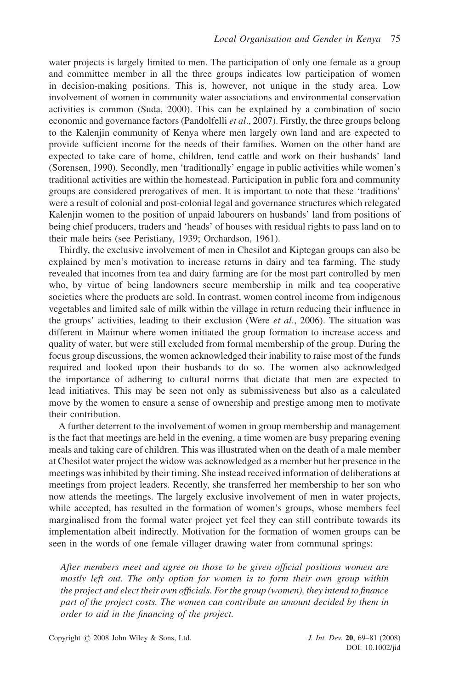water projects is largely limited to men. The participation of only one female as a group and committee member in all the three groups indicates low participation of women in decision-making positions. This is, however, not unique in the study area. Low involvement of women in community water associations and environmental conservation activities is common (Suda, 2000). This can be explained by a combination of socio economic and governance factors (Pandolfelli *et al.*, 2007). Firstly, the three groups belong to the Kalenjin community of Kenya where men largely own land and are expected to provide sufficient income for the needs of their families. Women on the other hand are expected to take care of home, children, tend cattle and work on their husbands' land (Sorensen, 1990). Secondly, men 'traditionally' engage in public activities while women's traditional activities are within the homestead. Participation in public fora and community groups are considered prerogatives of men. It is important to note that these 'traditions' were a result of colonial and post-colonial legal and governance structures which relegated Kalenjin women to the position of unpaid labourers on husbands' land from positions of being chief producers, traders and 'heads' of houses with residual rights to pass land on to their male heirs (see Peristiany, 1939; Orchardson, 1961).

Thirdly, the exclusive involvement of men in Chesilot and Kiptegan groups can also be explained by men's motivation to increase returns in dairy and tea farming. The study revealed that incomes from tea and dairy farming are for the most part controlled by men who, by virtue of being landowners secure membership in milk and tea cooperative societies where the products are sold. In contrast, women control income from indigenous vegetables and limited sale of milk within the village in return reducing their influence in the groups' activities, leading to their exclusion (Were  $et$   $al., 2006$ ). The situation was different in Maimur where women initiated the group formation to increase access and quality of water, but were still excluded from formal membership of the group. During the focus group discussions, the women acknowledged their inability to raise most of the funds required and looked upon their husbands to do so. The women also acknowledged the importance of adhering to cultural norms that dictate that men are expected to lead initiatives. This may be seen not only as submissiveness but also as a calculated move by the women to ensure a sense of ownership and prestige among men to motivate their contribution.

A further deterrent to the involvement of women in group membership and management is the fact that meetings are held in the evening, a time women are busy preparing evening meals and taking care of children. This was illustrated when on the death of a male member at Chesilot water project the widow was acknowledged as a member but her presence in the meetings was inhibited by their timing. She instead received information of deliberations at meetings from project leaders. Recently, she transferred her membership to her son who now attends the meetings. The largely exclusive involvement of men in water projects, while accepted, has resulted in the formation of women's groups, whose members feel marginalised from the formal water project yet feel they can still contribute towards its implementation albeit indirectly. Motivation for the formation of women groups can be seen in the words of one female villager drawing water from communal springs:

After members meet and agree on those to be given official positions women are mostly left out. The only option for women is to form their own group within the project and elect their own officials. For the group (women), they intend to finance part of the project costs. The women can contribute an amount decided by them in order to aid in the financing of the project.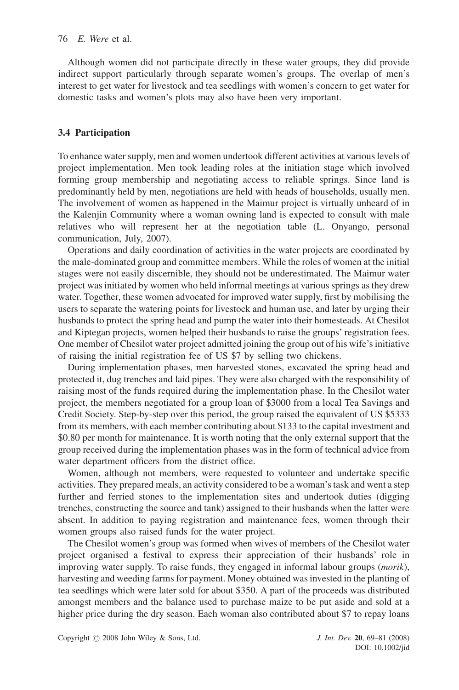Although women did not participate directly in these water groups, they did provide indirect support particularly through separate women's groups. The overlap of men's interest to get water for livestock and tea seedlings with women's concern to get water for domestic tasks and women's plots may also have been very important.

#### 3.4 Participation

To enhance water supply, men and women undertook different activities at various levels of project implementation. Men took leading roles at the initiation stage which involved forming group membership and negotiating access to reliable springs. Since land is predominantly held by men, negotiations are held with heads of households, usually men. The involvement of women as happened in the Maimur project is virtually unheard of in the Kalenjin Community where a woman owning land is expected to consult with male relatives who will represent her at the negotiation table (L. Onyango, personal communication, July, 2007).

Operations and daily coordination of activities in the water projects are coordinated by the male-dominated group and committee members. While the roles of women at the initial stages were not easily discernible, they should not be underestimated. The Maimur water project was initiated by women who held informal meetings at various springs as they drew water. Together, these women advocated for improved water supply, first by mobilising the users to separate the watering points for livestock and human use, and later by urging their husbands to protect the spring head and pump the water into their homesteads. At Chesilot and Kiptegan projects, women helped their husbands to raise the groups' registration fees. One member of Chesilot water project admitted joining the group out of his wife's initiative of raising the initial registration fee of US \$7 by selling two chickens.

During implementation phases, men harvested stones, excavated the spring head and protected it, dug trenches and laid pipes. They were also charged with the responsibility of raising most of the funds required during the implementation phase. In the Chesilot water project, the members negotiated for a group loan of \$3000 from a local Tea Savings and Credit Society. Step-by-step over this period, the group raised the equivalent of US \$5333 from its members, with each member contributing about \$133 to the capital investment and \$0.80 per month for maintenance. It is worth noting that the only external support that the group received during the implementation phases was in the form of technical advice from water department officers from the district office.

Women, although not members, were requested to volunteer and undertake specific activities. They prepared meals, an activity considered to be a woman's task and went a step further and ferried stones to the implementation sites and undertook duties (digging trenches, constructing the source and tank) assigned to their husbands when the latter were absent. In addition to paying registration and maintenance fees, women through their women groups also raised funds for the water project.

The Chesilot women's group was formed when wives of members of the Chesilot water project organised a festival to express their appreciation of their husbands' role in improving water supply. To raise funds, they engaged in informal labour groups (*morik*), harvesting and weeding farms for payment. Money obtained was invested in the planting of tea seedlings which were later sold for about \$350. A part of the proceeds was distributed amongst members and the balance used to purchase maize to be put aside and sold at a higher price during the dry season. Each woman also contributed about \$7 to repay loans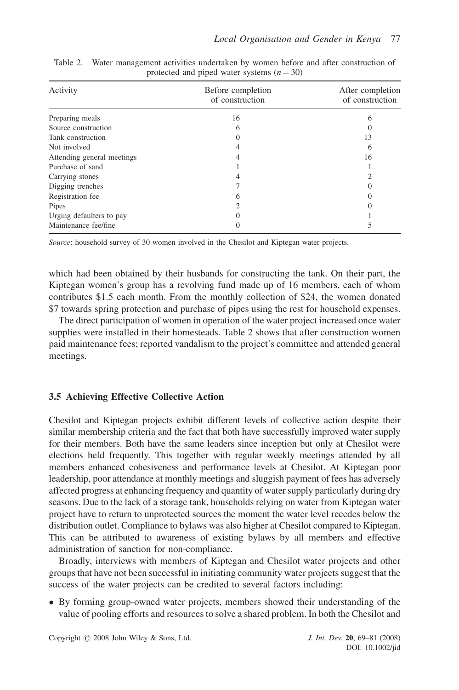| Activity                   | Before completion<br>of construction | After completion<br>of construction |
|----------------------------|--------------------------------------|-------------------------------------|
| Preparing meals            | 16                                   |                                     |
| Source construction        | n                                    |                                     |
| Tank construction          |                                      | 13                                  |
| Not involved               |                                      | <sub>(</sub>                        |
| Attending general meetings |                                      | 16                                  |
| Purchase of sand           |                                      |                                     |
| Carrying stones            |                                      |                                     |
| Digging trenches           |                                      |                                     |
| Registration fee           |                                      |                                     |
| Pipes                      |                                      |                                     |
| Urging defaulters to pay   |                                      |                                     |
| Maintenance fee/fine       |                                      |                                     |

| Table 2. Water management activities undertaken by women before and after construction of |
|-------------------------------------------------------------------------------------------|
| protected and piped water systems $(n=30)$                                                |

Source: household survey of 30 women involved in the Chesilot and Kiptegan water projects.

which had been obtained by their husbands for constructing the tank. On their part, the Kiptegan women's group has a revolving fund made up of 16 members, each of whom contributes \$1.5 each month. From the monthly collection of \$24, the women donated \$7 towards spring protection and purchase of pipes using the rest for household expenses.

The direct participation of women in operation of the water project increased once water supplies were installed in their homesteads. Table 2 shows that after construction women paid maintenance fees; reported vandalism to the project's committee and attended general meetings.

## 3.5 Achieving Effective Collective Action

Chesilot and Kiptegan projects exhibit different levels of collective action despite their similar membership criteria and the fact that both have successfully improved water supply for their members. Both have the same leaders since inception but only at Chesilot were elections held frequently. This together with regular weekly meetings attended by all members enhanced cohesiveness and performance levels at Chesilot. At Kiptegan poor leadership, poor attendance at monthly meetings and sluggish payment of fees has adversely affected progress at enhancing frequency and quantity of water supply particularly during dry seasons. Due to the lack of a storage tank, households relying on water from Kiptegan water project have to return to unprotected sources the moment the water level recedes below the distribution outlet. Compliance to bylaws was also higher at Chesilot compared to Kiptegan. This can be attributed to awareness of existing bylaws by all members and effective administration of sanction for non-compliance.

Broadly, interviews with members of Kiptegan and Chesilot water projects and other groups that have not been successful in initiating community water projects suggest that the success of the water projects can be credited to several factors including:

 By forming group-owned water projects, members showed their understanding of the value of pooling efforts and resources to solve a shared problem. In both the Chesilot and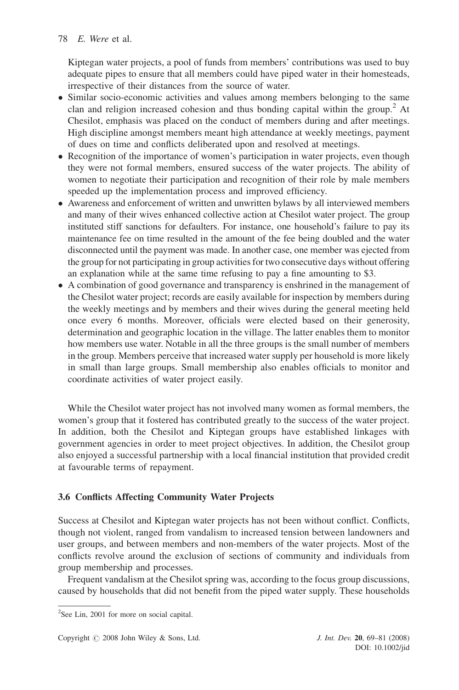Kiptegan water projects, a pool of funds from members' contributions was used to buy adequate pipes to ensure that all members could have piped water in their homesteads, irrespective of their distances from the source of water.

- Similar socio-economic activities and values among members belonging to the same clan and religion increased cohesion and thus bonding capital within the group.<sup>2</sup> At Chesilot, emphasis was placed on the conduct of members during and after meetings. High discipline amongst members meant high attendance at weekly meetings, payment of dues on time and conflicts deliberated upon and resolved at meetings.
- Recognition of the importance of women's participation in water projects, even though they were not formal members, ensured success of the water projects. The ability of women to negotiate their participation and recognition of their role by male members speeded up the implementation process and improved efficiency.
- Awareness and enforcement of written and unwritten bylaws by all interviewed members and many of their wives enhanced collective action at Chesilot water project. The group instituted stiff sanctions for defaulters. For instance, one household's failure to pay its maintenance fee on time resulted in the amount of the fee being doubled and the water disconnected until the payment was made. In another case, one member was ejected from the group for not participating in group activities for two consecutive days without offering an explanation while at the same time refusing to pay a fine amounting to \$3.
- A combination of good governance and transparency is enshrined in the management of the Chesilot water project; records are easily available for inspection by members during the weekly meetings and by members and their wives during the general meeting held once every 6 months. Moreover, officials were elected based on their generosity, determination and geographic location in the village. The latter enables them to monitor how members use water. Notable in all the three groups is the small number of members in the group. Members perceive that increased water supply per household is more likely in small than large groups. Small membership also enables officials to monitor and coordinate activities of water project easily.

While the Chesilot water project has not involved many women as formal members, the women's group that it fostered has contributed greatly to the success of the water project. In addition, both the Chesilot and Kiptegan groups have established linkages with government agencies in order to meet project objectives. In addition, the Chesilot group also enjoyed a successful partnership with a local financial institution that provided credit at favourable terms of repayment.

# 3.6 Conflicts Affecting Community Water Projects

Success at Chesilot and Kiptegan water projects has not been without conflict. Conflicts, though not violent, ranged from vandalism to increased tension between landowners and user groups, and between members and non-members of the water projects. Most of the conflicts revolve around the exclusion of sections of community and individuals from group membership and processes.

Frequent vandalism at the Chesilot spring was, according to the focus group discussions, caused by households that did not benefit from the piped water supply. These households

<sup>&</sup>lt;sup>2</sup>See Lin, 2001 for more on social capital.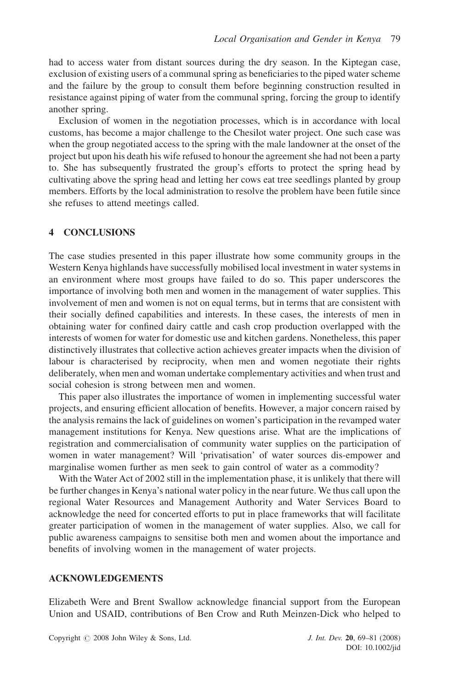had to access water from distant sources during the dry season. In the Kiptegan case, exclusion of existing users of a communal spring as beneficiaries to the piped water scheme and the failure by the group to consult them before beginning construction resulted in resistance against piping of water from the communal spring, forcing the group to identify another spring.

Exclusion of women in the negotiation processes, which is in accordance with local customs, has become a major challenge to the Chesilot water project. One such case was when the group negotiated access to the spring with the male landowner at the onset of the project but upon his death his wife refused to honour the agreement she had not been a party to. She has subsequently frustrated the group's efforts to protect the spring head by cultivating above the spring head and letting her cows eat tree seedlings planted by group members. Efforts by the local administration to resolve the problem have been futile since she refuses to attend meetings called.

#### 4 CONCLUSIONS

The case studies presented in this paper illustrate how some community groups in the Western Kenya highlands have successfully mobilised local investment in water systems in an environment where most groups have failed to do so. This paper underscores the importance of involving both men and women in the management of water supplies. This involvement of men and women is not on equal terms, but in terms that are consistent with their socially defined capabilities and interests. In these cases, the interests of men in obtaining water for confined dairy cattle and cash crop production overlapped with the interests of women for water for domestic use and kitchen gardens. Nonetheless, this paper distinctively illustrates that collective action achieves greater impacts when the division of labour is characterised by reciprocity, when men and women negotiate their rights deliberately, when men and woman undertake complementary activities and when trust and social cohesion is strong between men and women.

This paper also illustrates the importance of women in implementing successful water projects, and ensuring efficient allocation of benefits. However, a major concern raised by the analysis remains the lack of guidelines on women's participation in the revamped water management institutions for Kenya. New questions arise. What are the implications of registration and commercialisation of community water supplies on the participation of women in water management? Will 'privatisation' of water sources dis-empower and marginalise women further as men seek to gain control of water as a commodity?

With the Water Act of 2002 still in the implementation phase, it is unlikely that there will be further changes in Kenya's national water policy in the near future. We thus call upon the regional Water Resources and Management Authority and Water Services Board to acknowledge the need for concerted efforts to put in place frameworks that will facilitate greater participation of women in the management of water supplies. Also, we call for public awareness campaigns to sensitise both men and women about the importance and benefits of involving women in the management of water projects.

## ACKNOWLEDGEMENTS

Elizabeth Were and Brent Swallow acknowledge financial support from the European Union and USAID, contributions of Ben Crow and Ruth Meinzen-Dick who helped to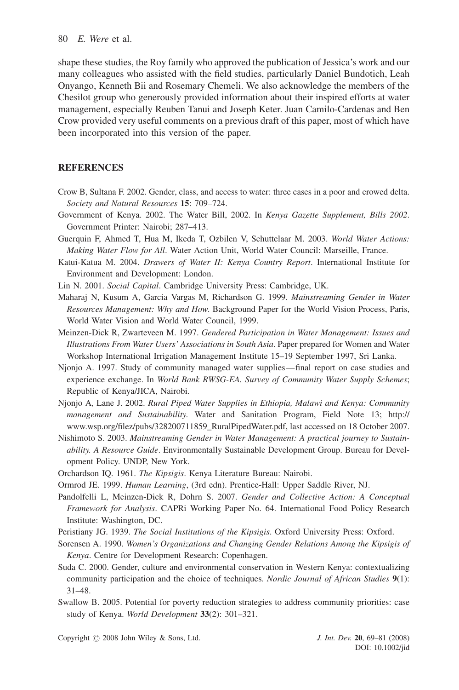shape these studies, the Roy family who approved the publication of Jessica's work and our many colleagues who assisted with the field studies, particularly Daniel Bundotich, Leah Onyango, Kenneth Bii and Rosemary Chemeli. We also acknowledge the members of the Chesilot group who generously provided information about their inspired efforts at water management, especially Reuben Tanui and Joseph Keter. Juan Camilo-Cardenas and Ben Crow provided very useful comments on a previous draft of this paper, most of which have been incorporated into this version of the paper.

## **REFERENCES**

- Crow B, Sultana F. 2002. Gender, class, and access to water: three cases in a poor and crowed delta. Society and Natural Resources 15: 709–724.
- Government of Kenya. 2002. The Water Bill, 2002. In Kenya Gazette Supplement, Bills 2002. Government Printer: Nairobi; 287–413.
- Guerquin F, Ahmed T, Hua M, Ikeda T, Ozbilen V, Schuttelaar M. 2003. World Water Actions: Making Water Flow for All. Water Action Unit, World Water Council: Marseille, France.
- Katui-Katua M. 2004. Drawers of Water II: Kenya Country Report. International Institute for Environment and Development: London.
- Lin N. 2001. Social Capital. Cambridge University Press: Cambridge, UK.
- Maharaj N, Kusum A, Garcia Vargas M, Richardson G. 1999. Mainstreaming Gender in Water Resources Management: Why and How. Background Paper for the World Vision Process, Paris, World Water Vision and World Water Council, 1999.
- Meinzen-Dick R, Zwarteveen M. 1997. Gendered Participation in Water Management: Issues and Illustrations From Water Users' Associations in South Asia. Paper prepared for Women and Water Workshop International Irrigation Management Institute 15–19 September 1997, Sri Lanka.
- Njonjo A. 1997. Study of community managed water supplies—final report on case studies and experience exchange. In World Bank RWSG-EA. Survey of Community Water Supply Schemes; Republic of Kenya/JICA, Nairobi.

Njonjo A, Lane J. 2002. Rural Piped Water Supplies in Ethiopia, Malawi and Kenya: Community management and Sustainability. Water and Sanitation Program, Field Note 13; http:// www.wsp.org/filez/pubs/328200711859\_RuralPipedWater.pdf, last accessed on 18 October 2007.

Nishimoto S. 2003. Mainstreaming Gender in Water Management: A practical journey to Sustainability. A Resource Guide. Environmentally Sustainable Development Group. Bureau for Development Policy. UNDP, New York.

Orchardson IQ. 1961. The Kipsigis. Kenya Literature Bureau: Nairobi.

- Ormrod JE. 1999. Human Learning, (3rd edn). Prentice-Hall: Upper Saddle River, NJ.
- Pandolfelli L, Meinzen-Dick R, Dohrn S. 2007. Gender and Collective Action: A Conceptual Framework for Analysis. CAPRi Working Paper No. 64. International Food Policy Research Institute: Washington, DC.
- Peristiany JG. 1939. The Social Institutions of the Kipsigis. Oxford University Press: Oxford.
- Sorensen A. 1990. Women's Organizations and Changing Gender Relations Among the Kipsigis of Kenya. Centre for Development Research: Copenhagen.
- Suda C. 2000. Gender, culture and environmental conservation in Western Kenya: contextualizing community participation and the choice of techniques. Nordic Journal of African Studies 9(1): 31–48.
- Swallow B. 2005. Potential for poverty reduction strategies to address community priorities: case study of Kenya. World Development 33(2): 301–321.